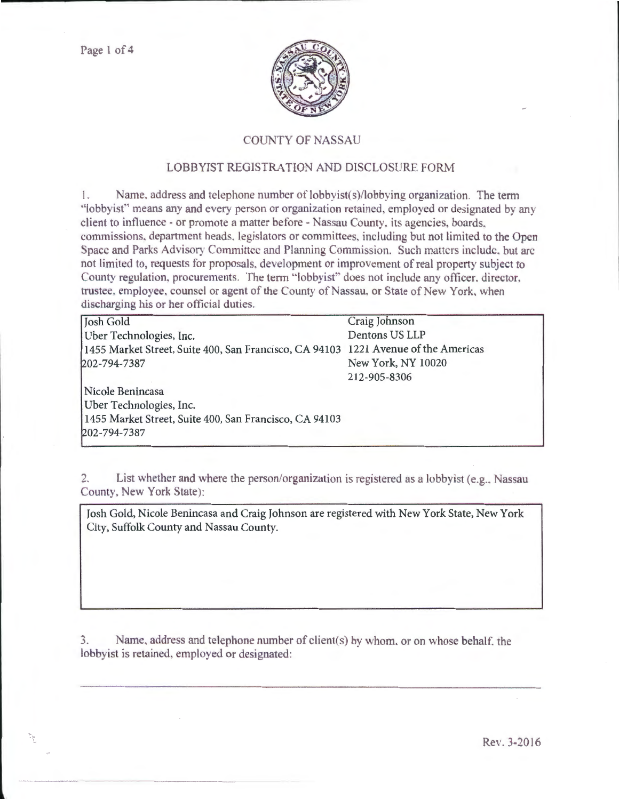

## **COUNTY OF NASSAU**

## LOBBYIST REGISTRATION AND DISCLOSURE FORM

1. Name, address and telephone number of lobbyist(s)/lobbying organization. The term "lobbyist" means any and every person or organization retained, employed or designated by any client to influence - or promote a matter before - Nassau County, its agencies, boards. commissions, department heads, legislators or committees, including but not limited to the Open Space and Parks Advisory Committee and Planning Commission. Such matters include, but are not limited to, requests for proposals, development or improvement of real property subject to County regulation, procurements. The term "lobbyist" does not include any officer, director, trustee, employee, counsel or agent of the County of Nassau, or State of New York, when discharging his or her official duties.

| Josh Gold                                                                          | Craig Johnson      |
|------------------------------------------------------------------------------------|--------------------|
| Uber Technologies, Inc.                                                            | Dentons US LLP     |
| 1455 Market Street, Suite 400, San Francisco, CA 94103 1221 Avenue of the Americas |                    |
| 202-794-7387                                                                       | New York, NY 10020 |
|                                                                                    | 212-905-8306       |
| Nicole Benincasa                                                                   |                    |
| Uber Technologies, Inc.                                                            |                    |
| 1455 Market Street, Suite 400, San Francisco, CA 94103                             |                    |
| 202-794-7387                                                                       |                    |
|                                                                                    |                    |

2. List whether and where the person/organization is registered as a lobbyist (e.g., Nassau County, New York State):

Josh Gold, Nicole Benincasa and Craig Johnson are registered with New York State, New York City, Suffolk County and Nassau County.

3. Name, address and telephone number of client( $s$ ) by whom, or on whose behalf, the lobbyist is retained, employed or designated: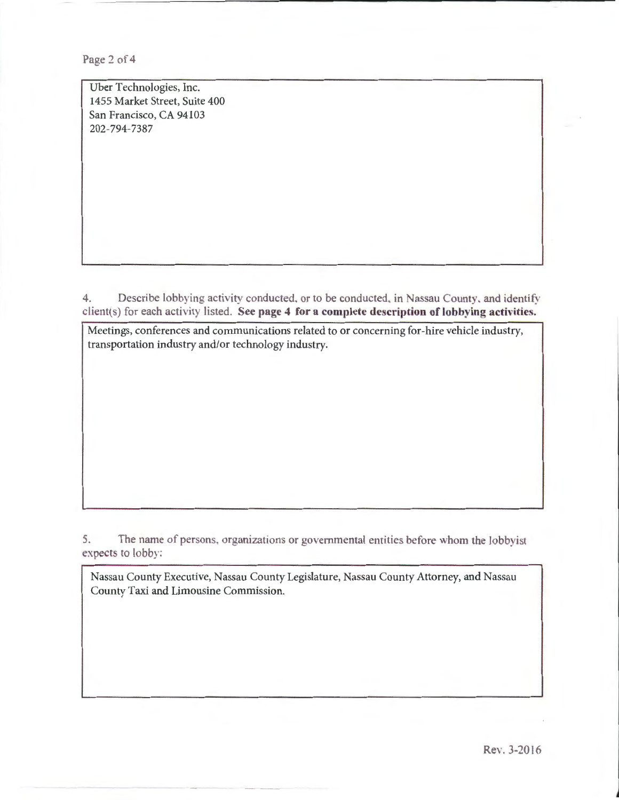Page 2 of 4

Uber Technologies, Inc. 1455 Market Street, Suite 400 San Francisco, CA 94103 202-794-7387

4. Describe lobbying activity conducted, or to be conducted, in Nassau County, and identify client(s) for each activity listed. See page 4 for a complete description of lobbying activities.

Meetings, conferences and communications related to or concerning for-hire vehicle industry, transportation industry and/or technology industry.

5. The name of persons, organizations or governmental entities before whom the lobbyist expects to lobby:

Nassau County Executive, Nassau County Legislature, Nassau County Attorney, and Nassau County Taxi and Limousine Commission.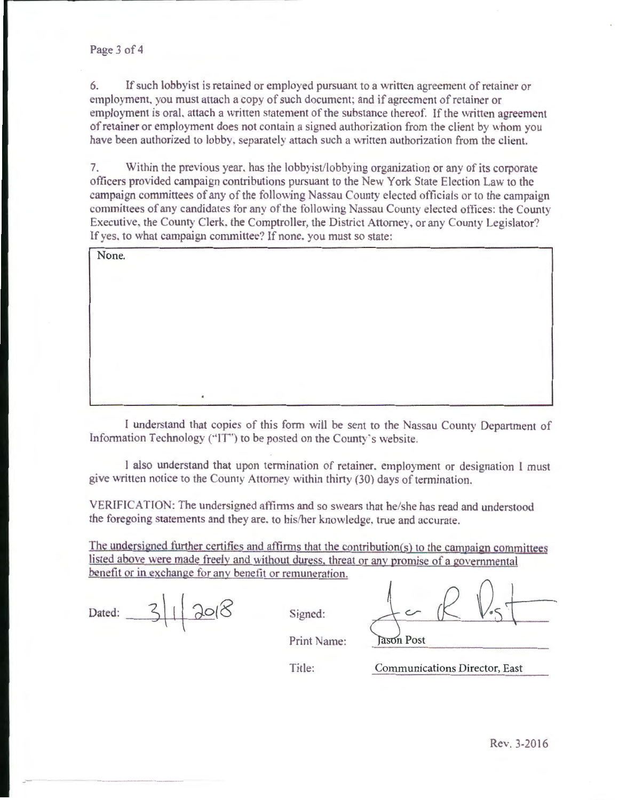6. If such lobby ist is retained or employed pursuant to a written agreement of retainer or employment, you must attach a copy of such document; and if agreement of retainer or employment is oral, attach a written statement of the substance thereof. If the written agreement of retainer or employment does not contain a signed authorization from the client by whom you have been authorized to lobby, separately attach such a written authorization from the client.

7. Within the previous year, has the lobbyist/lobbying organization or any of its corporate officers provided campaign contributions pursuant to the New York State Election Law to the campaign committees of any of the following Nassau County elected officials or to the campaign committees of any candidates for any of the following Nassau County elected offices: the County Executive, the County Clerk, the Comptroller, the District Attorney, or any County Legislator? If yes, to what campaign committee? If none, you must so state:

None.

I understand that copies of this form will be sent to the Nassau County Department of Information Technology ("IT") to be posted on the County's website.

1 also understand that upon termination of retainer, employment or designation I must give written notice to the County Attorney within thirty (30) days of termination.

VERIFICATION: The undersigned affirms and so swears that he/she has read and understood the foregoing statements and they are, to his/her knowledge, true and accurate.

The undersigned further certifies and affirms that the contribution(s) to the campaign committees listed above were made freely and without duress, threat or any promise of a governmental benefit or in exchange for any benefit or remuneration.

| Dated: |  | $\bigcap$ |
|--------|--|-----------|
|--------|--|-----------|

Signed:

ason Post

Print Name:

Title: Communications Director, East